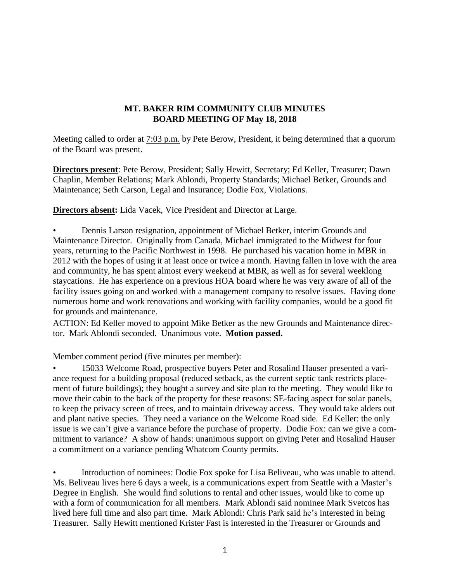#### **MT. BAKER RIM COMMUNITY CLUB MINUTES BOARD MEETING OF May 18, 2018**

Meeting called to order at 7:03 p.m. by Pete Berow, President, it being determined that a quorum of the Board was present.

**Directors present**: Pete Berow, President; Sally Hewitt, Secretary; Ed Keller, Treasurer; Dawn Chaplin, Member Relations; Mark Ablondi, Property Standards; Michael Betker, Grounds and Maintenance; Seth Carson, Legal and Insurance; Dodie Fox, Violations.

**Directors absent:** Lida Vacek, Vice President and Director at Large.

• Dennis Larson resignation, appointment of Michael Betker, interim Grounds and Maintenance Director. Originally from Canada, Michael immigrated to the Midwest for four years, returning to the Pacific Northwest in 1998. He purchased his vacation home in MBR in 2012 with the hopes of using it at least once or twice a month. Having fallen in love with the area and community, he has spent almost every weekend at MBR, as well as for several weeklong staycations. He has experience on a previous HOA board where he was very aware of all of the facility issues going on and worked with a management company to resolve issues. Having done numerous home and work renovations and working with facility companies, would be a good fit for grounds and maintenance.

ACTION: Ed Keller moved to appoint Mike Betker as the new Grounds and Maintenance director. Mark Ablondi seconded. Unanimous vote. **Motion passed.**

Member comment period (five minutes per member):

• 15033 Welcome Road, prospective buyers Peter and Rosalind Hauser presented a variance request for a building proposal (reduced setback, as the current septic tank restricts placement of future buildings); they bought a survey and site plan to the meeting. They would like to move their cabin to the back of the property for these reasons: SE-facing aspect for solar panels, to keep the privacy screen of trees, and to maintain driveway access. They would take alders out and plant native species. They need a variance on the Welcome Road side. Ed Keller: the only issue is we can't give a variance before the purchase of property. Dodie Fox: can we give a commitment to variance? A show of hands: unanimous support on giving Peter and Rosalind Hauser a commitment on a variance pending Whatcom County permits.

• Introduction of nominees: Dodie Fox spoke for Lisa Beliveau, who was unable to attend. Ms. Beliveau lives here 6 days a week, is a communications expert from Seattle with a Master's Degree in English. She would find solutions to rental and other issues, would like to come up with a form of communication for all members. Mark Ablondi said nominee Mark Svetcos has lived here full time and also part time. Mark Ablondi: Chris Park said he's interested in being Treasurer. Sally Hewitt mentioned Krister Fast is interested in the Treasurer or Grounds and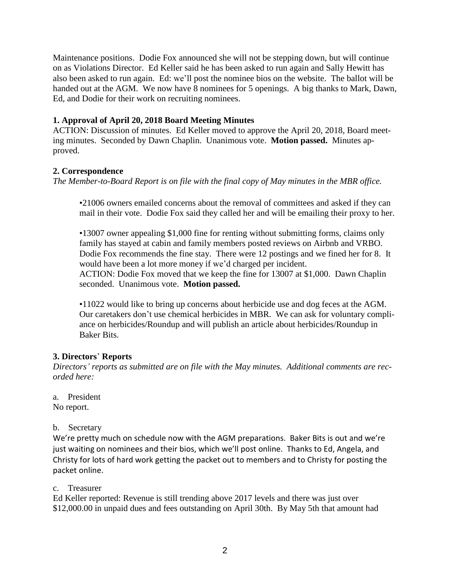Maintenance positions. Dodie Fox announced she will not be stepping down, but will continue on as Violations Director. Ed Keller said he has been asked to run again and Sally Hewitt has also been asked to run again. Ed: we'll post the nominee bios on the website. The ballot will be handed out at the AGM. We now have 8 nominees for 5 openings. A big thanks to Mark, Dawn, Ed, and Dodie for their work on recruiting nominees.

### **1. Approval of April 20, 2018 Board Meeting Minutes**

ACTION: Discussion of minutes. Ed Keller moved to approve the April 20, 2018, Board meeting minutes. Seconded by Dawn Chaplin. Unanimous vote. **Motion passed.** Minutes approved.

## **2. Correspondence**

*The Member-to-Board Report is on file with the final copy of May minutes in the MBR office.*

•21006 owners emailed concerns about the removal of committees and asked if they can mail in their vote. Dodie Fox said they called her and will be emailing their proxy to her.

•13007 owner appealing \$1,000 fine for renting without submitting forms, claims only family has stayed at cabin and family members posted reviews on Airbnb and VRBO. Dodie Fox recommends the fine stay. There were 12 postings and we fined her for 8. It would have been a lot more money if we'd charged per incident. ACTION: Dodie Fox moved that we keep the fine for 13007 at \$1,000. Dawn Chaplin seconded. Unanimous vote. **Motion passed.**

•11022 would like to bring up concerns about herbicide use and dog feces at the AGM. Our caretakers don't use chemical herbicides in MBR. We can ask for voluntary compliance on herbicides/Roundup and will publish an article about herbicides/Roundup in Baker Bits.

# **3. Directors**' **Reports**

*Directors' reports as submitted are on file with the May minutes. Additional comments are recorded here:*

a. President

No report.

b. Secretary

We're pretty much on schedule now with the AGM preparations. Baker Bits is out and we're just waiting on nominees and their bios, which we'll post online. Thanks to Ed, Angela, and Christy for lots of hard work getting the packet out to members and to Christy for posting the packet online.

c. Treasurer

Ed Keller reported: Revenue is still trending above 2017 levels and there was just over \$12,000.00 in unpaid dues and fees outstanding on April 30th. By May 5th that amount had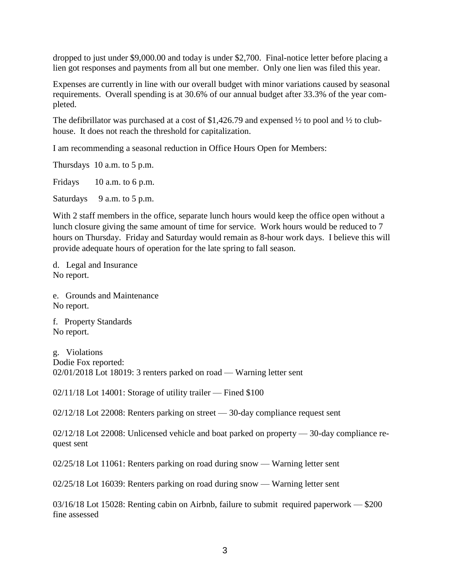dropped to just under \$9,000.00 and today is under \$2,700. Final-notice letter before placing a lien got responses and payments from all but one member. Only one lien was filed this year.

Expenses are currently in line with our overall budget with minor variations caused by seasonal requirements. Overall spending is at 30.6% of our annual budget after 33.3% of the year completed.

The defibrillator was purchased at a cost of \$1,426.79 and expensed  $\frac{1}{2}$  to pool and  $\frac{1}{2}$  to clubhouse. It does not reach the threshold for capitalization.

I am recommending a seasonal reduction in Office Hours Open for Members:

Thursdays 10 a.m. to 5 p.m.

Fridays 10 a.m. to 6 p.m.

Saturdays 9 a.m. to 5 p.m.

With 2 staff members in the office, separate lunch hours would keep the office open without a lunch closure giving the same amount of time for service. Work hours would be reduced to 7 hours on Thursday. Friday and Saturday would remain as 8-hour work days. I believe this will provide adequate hours of operation for the late spring to fall season.

d. Legal and Insurance No report.

e. Grounds and Maintenance No report.

f. Property Standards No report.

g. Violations Dodie Fox reported: 02/01/2018 Lot 18019: 3 renters parked on road — Warning letter sent

02/11/18 Lot 14001: Storage of utility trailer — Fined \$100

02/12/18 Lot 22008: Renters parking on street — 30-day compliance request sent

02/12/18 Lot 22008: Unlicensed vehicle and boat parked on property — 30-day compliance request sent

02/25/18 Lot 11061: Renters parking on road during snow — Warning letter sent

02/25/18 Lot 16039: Renters parking on road during snow — Warning letter sent

03/16/18 Lot 15028: Renting cabin on Airbnb, failure to submit required paperwork — \$200 fine assessed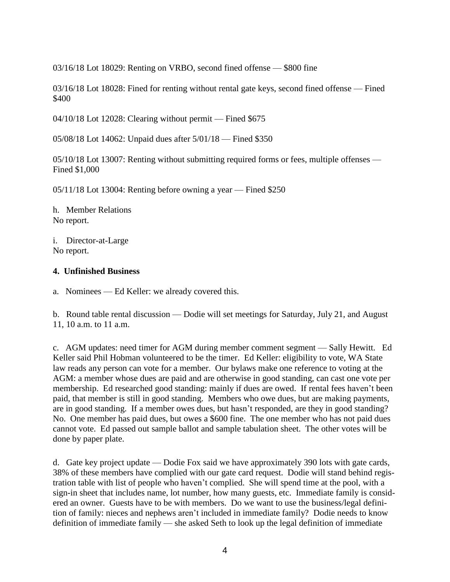03/16/18 Lot 18029: Renting on VRBO, second fined offense — \$800 fine

03/16/18 Lot 18028: Fined for renting without rental gate keys, second fined offense — Fined \$400

04/10/18 Lot 12028: Clearing without permit — Fined \$675

05/08/18 Lot 14062: Unpaid dues after 5/01/18 — Fined \$350

05/10/18 Lot 13007: Renting without submitting required forms or fees, multiple offenses — Fined \$1,000

05/11/18 Lot 13004: Renting before owning a year — Fined \$250

h. Member Relations No report.

i. Director-at-Large No report.

### **4. Unfinished Business**

a. Nominees — Ed Keller: we already covered this.

b. Round table rental discussion — Dodie will set meetings for Saturday, July 21, and August 11, 10 a.m. to 11 a.m.

c. AGM updates: need timer for AGM during member comment segment — Sally Hewitt. Ed Keller said Phil Hobman volunteered to be the timer. Ed Keller: eligibility to vote, WA State law reads any person can vote for a member. Our bylaws make one reference to voting at the AGM: a member whose dues are paid and are otherwise in good standing, can cast one vote per membership. Ed researched good standing: mainly if dues are owed. If rental fees haven't been paid, that member is still in good standing. Members who owe dues, but are making payments, are in good standing. If a member owes dues, but hasn't responded, are they in good standing? No. One member has paid dues, but owes a \$600 fine. The one member who has not paid dues cannot vote. Ed passed out sample ballot and sample tabulation sheet. The other votes will be done by paper plate.

d. Gate key project update — Dodie Fox said we have approximately 390 lots with gate cards, 38% of these members have complied with our gate card request. Dodie will stand behind registration table with list of people who haven't complied. She will spend time at the pool, with a sign-in sheet that includes name, lot number, how many guests, etc. Immediate family is considered an owner. Guests have to be with members. Do we want to use the business/legal definition of family: nieces and nephews aren't included in immediate family? Dodie needs to know definition of immediate family — she asked Seth to look up the legal definition of immediate